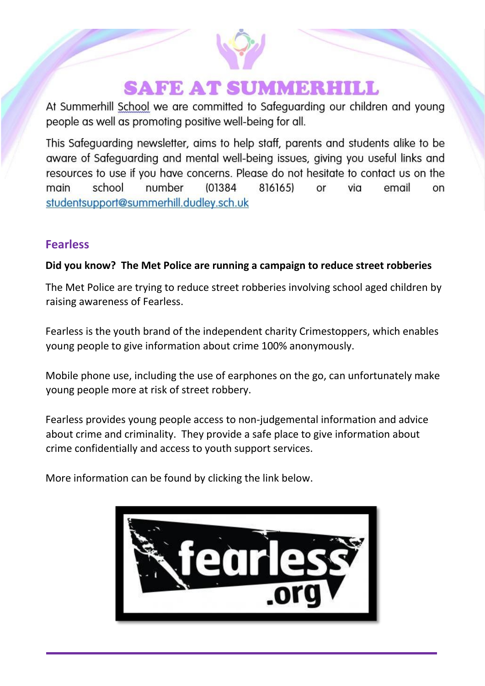# **SAFE AT SUMMERHILL**

At Summerhill School we are committed to Safeguarding our children and young people as well as promoting positive well-being for all.

This Safeguarding newsletter, aims to help staff, parents and students alike to be aware of Safeguarding and mental well-being issues, giving you useful links and resources to use if you have concerns. Please do not hesitate to contact us on the school number (01384) 8161651 via email main or on studentsupport@summerhill.dudley.sch.uk

### **Fearless**

#### **Did you know? The Met Police are running a campaign to reduce street robberies**

The Met Police are trying to reduce street robberies involving school aged children by raising awareness of Fearless.

Fearless is the youth brand of the independent charity Crimestoppers, which enables young people to give information about crime 100% anonymously.

Mobile phone use, including the use of earphones on the go, can unfortunately make young people more at risk of street robbery.

Fearless provides young people access to non-judgemental information and advice about crime and criminality. They provide a safe place to give information about crime confidentially and access to youth support services.

More information can be found by clicking the link below.

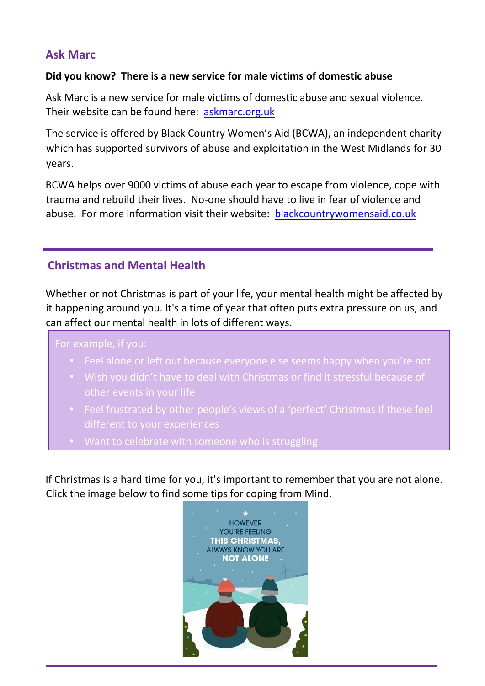### **Ask Marc**

#### **Did you know? There is a new service for male victims of domestic abuse**

Ask Marc is a new service for male victims of domestic abuse and sexual violence. Their website can be found here: [askmarc.org.uk](https://askmarc.org.uk/)

The service is offered by Black Country Women's Aid (BCWA), an independent charity which has supported survivors of abuse and exploitation in the West Midlands for 30 years.

BCWA helps over 9000 victims of abuse each year to escape from violence, cope with trauma and rebuild their lives. No-one should have to live in fear of violence and abuse. For more information visit their website: [blackcountrywomensaid.co.uk](https://blackcountrywomensaid.co.uk/)

## **Christmas and Mental Health**

Whether or not Christmas is part of your life, your mental health might be affected by it happening around you. It's a time of year that often puts extra pressure on us, and can affect our mental health in lots of different ways.

For example, if you:

- Feel alone or left out because everyone else seems happy when you're not
- Wish you didn't have to deal with Christmas or find it stressful because of other events in your life
- Feel frustrated by other people's views of a 'perfect' Christmas if these feel different to your experiences
- Want to celebrate with someone who is struggling

If Christmas is a hard time for you, it's important to remember that you are not alone. Click the image below to find some tips for coping from Mind.

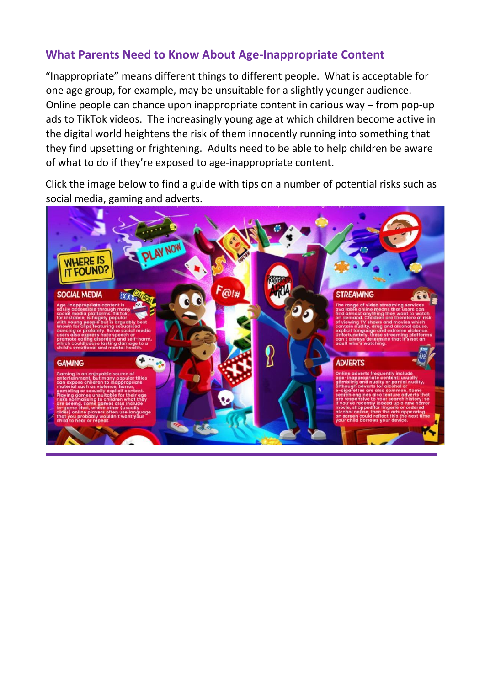### **What Parents Need to Know About Age-Inappropriate Content**

"Inappropriate" means different things to different people. What is acceptable for one age group, for example, may be unsuitable for a slightly younger audience. Online people can chance upon inappropriate content in carious way – from pop-up ads to TikTok videos. The increasingly young age at which children become active in the digital world heightens the risk of them innocently running into something that they find upsetting or frightening. Adults need to be able to help children be aware of what to do if they're exposed to age-inappropriate content.

Click the image below to find a guide with tips on a number of potential risks such as social media, gaming and adverts.